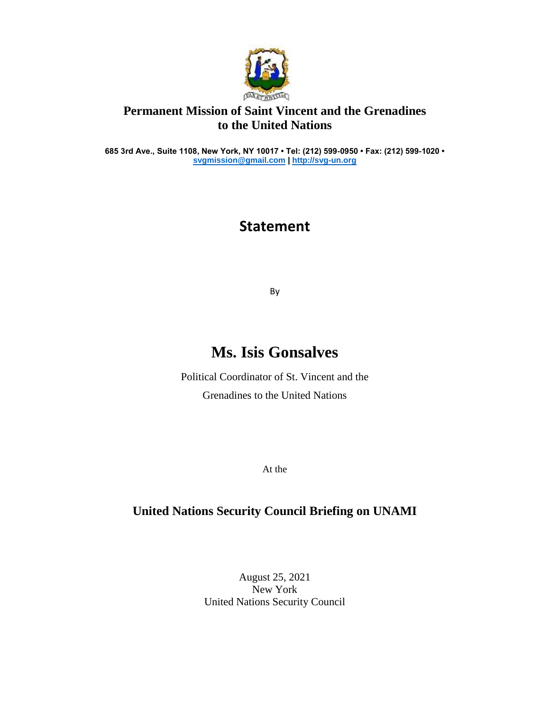

## **Permanent Mission of Saint Vincent and the Grenadines to the United Nations**

**685 3rd Ave., Suite 1108, New York, NY 10017 • Tel: (212) 599-0950 • Fax: (212) 599-1020 • [svgmission@gmail.com](mailto:svgmission@gmail.com) [| http://svg-un.org](http://svg-un.org/)**

## **Statement**

By

## **Ms. Isis Gonsalves**

Political Coordinator of St. Vincent and the Grenadines to the United Nations

At the

## **United Nations Security Council Briefing on UNAMI**

August 25, 2021 New York United Nations Security Council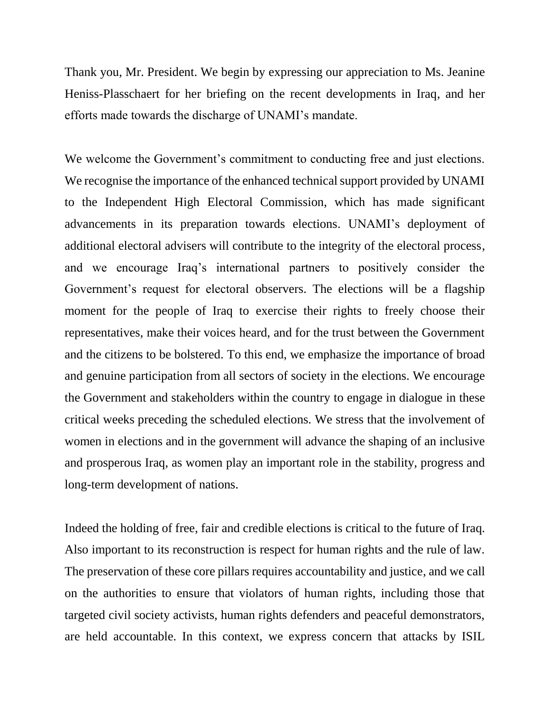Thank you, Mr. President. We begin by expressing our appreciation to Ms. Jeanine Heniss-Plasschaert for her briefing on the recent developments in Iraq, and her efforts made towards the discharge of UNAMI's mandate.

We welcome the Government's commitment to conducting free and just elections. We recognise the importance of the enhanced technical support provided by UNAMI to the Independent High Electoral Commission, which has made significant advancements in its preparation towards elections. UNAMI's deployment of additional electoral advisers will contribute to the integrity of the electoral process, and we encourage Iraq's international partners to positively consider the Government's request for electoral observers. The elections will be a flagship moment for the people of Iraq to exercise their rights to freely choose their representatives, make their voices heard, and for the trust between the Government and the citizens to be bolstered. To this end, we emphasize the importance of broad and genuine participation from all sectors of society in the elections. We encourage the Government and stakeholders within the country to engage in dialogue in these critical weeks preceding the scheduled elections. We stress that the involvement of women in elections and in the government will advance the shaping of an inclusive and prosperous Iraq, as women play an important role in the stability, progress and long-term development of nations.

Indeed the holding of free, fair and credible elections is critical to the future of Iraq. Also important to its reconstruction is respect for human rights and the rule of law. The preservation of these core pillars requires accountability and justice, and we call on the authorities to ensure that violators of human rights, including those that targeted civil society activists, human rights defenders and peaceful demonstrators, are held accountable. In this context, we express concern that attacks by ISIL